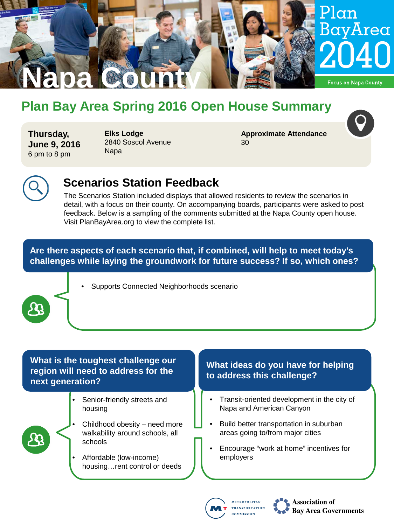

# **Plan Bay Area Spring 2016 Open House Summary**

**Thursday, June 9, 2016** 6 pm to 8 pm

**Elks Lodge** 2840 Soscol Avenue Napa

**Approximate Attendance** 30



# **Scenarios Station Feedback**

The Scenarios Station included displays that allowed residents to review the scenarios in detail, with a focus on their county. On accompanying boards, participants were asked to post feedback. Below is a sampling of the comments submitted at the Napa County open house. Visit PlanBayArea.org to view the complete list.

**Are there aspects of each scenario that, if combined, will help to meet today's challenges while laying the groundwork for future success? If so, which ones?**



#### **What is the toughest challenge our region will need to address for the next generation?**

Senior-friendly streets and housing



- Childhood obesity need more walkability around schools, all schools
- Affordable (low-income) housing…rent control or deeds

#### **What ideas do you have for helping to address this challenge?**

- Transit-oriented development in the city of Napa and American Canyon
- Build better transportation in suburban areas going to/from major cities
- Encourage "work at home" incentives for employers



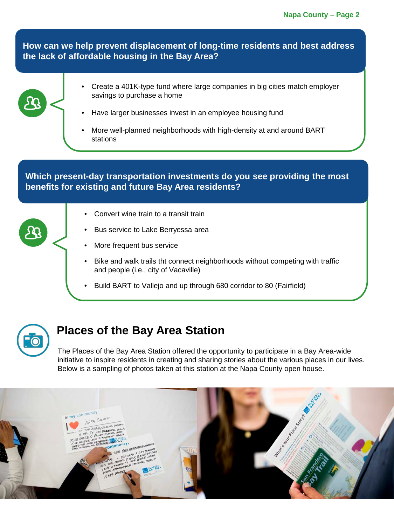**How can we help prevent displacement of long-time residents and best address the lack of affordable housing in the Bay Area?**



- Create a 401K-type fund where large companies in big cities match employer savings to purchase a home
- Have larger businesses invest in an employee housing fund
- More well-planned neighborhoods with high-density at and around BART stations

**Which present-day transportation investments do you see providing the most benefits for existing and future Bay Area residents?**

- Convert wine train to a transit train
- Bus service to Lake Berryessa area
- More frequent bus service
- Bike and walk trails tht connect neighborhoods without competing with traffic and people (i.e., city of Vacaville)
- Build BART to Vallejo and up through 680 corridor to 80 (Fairfield)



## **Places of the Bay Area Station**

The Places of the Bay Area Station offered the opportunity to participate in a Bay Area-wide initiative to inspire residents in creating and sharing stories about the various places in our lives. Below is a sampling of photos taken at this station at the Napa County open house.

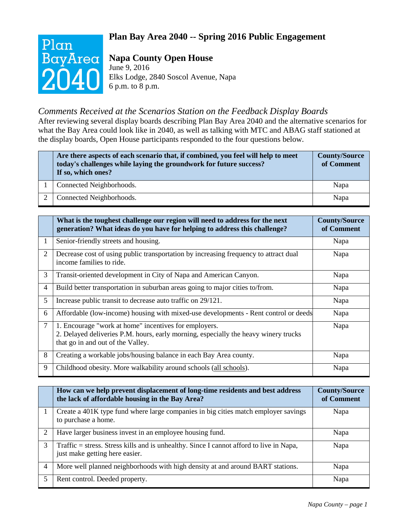#### **Plan Bay Area 2040 -- Spring 2016 Public Engagement**



### **Napa County Open House**

June 9, 2016 Elks Lodge, 2840 Soscol Avenue, Napa 6 p.m. to 8 p.m.

#### *Comments Received at the Scenarios Station on the Feedback Display Boards*

After reviewing several display boards describing Plan Bay Area 2040 and the alternative scenarios for what the Bay Area could look like in 2040, as well as talking with MTC and ABAG staff stationed at the display boards, Open House participants responded to the four questions below.

| Are there aspects of each scenario that, if combined, you feel will help to meet<br>today's challenges while laying the groundwork for future success?<br>If so, which ones? | <b>County/Source</b><br>of Comment |
|------------------------------------------------------------------------------------------------------------------------------------------------------------------------------|------------------------------------|
| Connected Neighborhoods.                                                                                                                                                     | Napa                               |
| Connected Neighborhoods.                                                                                                                                                     | Napa                               |

|                | What is the toughest challenge our region will need to address for the next<br>generation? What ideas do you have for helping to address this challenge?                          | <b>County/Source</b><br>of Comment |
|----------------|-----------------------------------------------------------------------------------------------------------------------------------------------------------------------------------|------------------------------------|
| 1              | Senior-friendly streets and housing.                                                                                                                                              | Napa                               |
| 2              | Decrease cost of using public transportation by increasing frequency to attract dual<br>income families to ride.                                                                  | Napa                               |
| 3              | Transit-oriented development in City of Napa and American Canyon.                                                                                                                 | Napa                               |
| 4              | Build better transportation in suburban areas going to major cities to/from.                                                                                                      | Napa                               |
| 5              | Increase public transit to decrease auto traffic on 29/121.                                                                                                                       | Napa                               |
| 6              | Affordable (low-income) housing with mixed-use developments - Rent control or deeds                                                                                               | Napa                               |
| $\overline{7}$ | 1. Encourage "work at home" incentives for employers.<br>2. Delayed deliveries P.M. hours, early morning, especially the heavy winery trucks<br>that go in and out of the Valley. | Napa                               |
| 8              | Creating a workable jobs/housing balance in each Bay Area county.                                                                                                                 | Napa                               |
| 9              | Childhood obesity. More walkability around schools (all schools).                                                                                                                 | Napa                               |

|   | How can we help prevent displacement of long-time residents and best address<br>the lack of affordable housing in the Bay Area? | <b>County/Source</b><br>of Comment |
|---|---------------------------------------------------------------------------------------------------------------------------------|------------------------------------|
|   | Create a 401K type fund where large companies in big cities match employer savings<br>to purchase a home.                       | Napa                               |
|   | Have larger business invest in an employee housing fund.                                                                        | Napa                               |
| 3 | Traffic = stress. Stress kills and is unhealthy. Since I cannot afford to live in Napa,<br>just make getting here easier.       | Napa                               |
| 4 | More well planned neighborhoods with high density at and around BART stations.                                                  | Napa                               |
|   | Rent control. Deeded property.                                                                                                  | Napa                               |